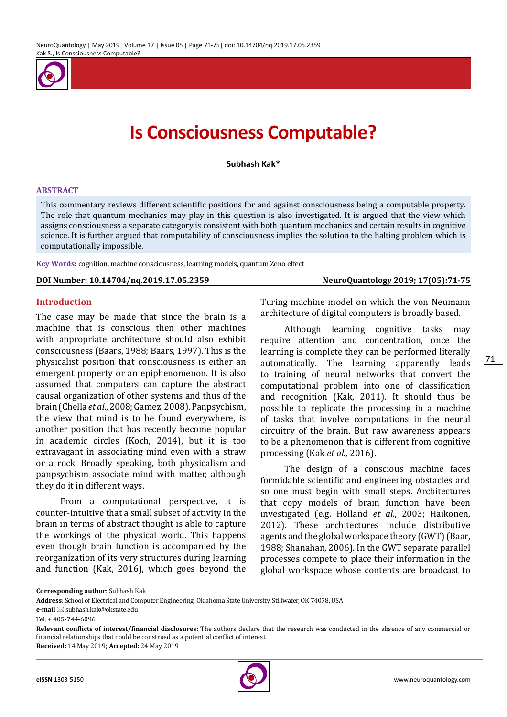

# **Is Consciousness Computable?**

**Subhash Kak\***

#### **ABSTRACT**

This commentary reviews different scientific positions for and against consciousness being a computable property. The role that quantum mechanics may play in this question is also investigated. It is argued that the view which assigns consciousness a separate category is consistent with both quantum mechanics and certain results in cognitive science. It is further argued that computability of consciousness implies the solution to the halting problem which is computationally impossible.

**Key Words:** cognition, machine consciousness, learning models, quantum Zeno effect

**DOI Number: 10.14704/nq.2019.17.05.2359 NeuroQuantology 2019; 17(05):71-75**

Turing machine model on which the von Neumann

architecture of digital computers is broadly based.

## **Introduction**

The case may be made that since the brain is a machine that is conscious then other machines with appropriate architecture should also exhibit consciousness (Baars, 1988; Baars, 1997). This is the physicalist position that consciousness is either an emergent property or an epiphenomenon. It is also assumed that computers can capture the abstract causal organization of other systems and thus of the brain (Chella *et al*., 2008; Gamez, 2008). Panpsychism, the view that mind is to be found everywhere, is another position that has recently become popular in academic circles (Koch, 2014), but it is too extravagant in associating mind even with a straw or a rock. Broadly speaking, both physicalism and panpsychism associate mind with matter, although they do it in different ways.

From a computational perspective, it is counter-intuitive that a small subset of activity in the brain in terms of abstract thought is able to capture the workings of the physical world. This happens even though brain function is accompanied by the reorganization of its very structures during learning and function (Kak, 2016), which goes beyond the

Although learning cognitive tasks may require attention and concentration, once the learning is complete they can be performed literally automatically. The learning apparently leads to training of neural networks that convert the computational problem into one of classification and recognition (Kak, 2011). It should thus be possible to replicate the processing in a machine of tasks that involve computations in the neural circuitry of the brain. But raw awareness appears to be a phenomenon that is different from cognitive processing (Kak *et al*., 2016).

The design of a conscious machine faces formidable scientific and engineering obstacles and so one must begin with small steps. Architectures that copy models of brain function have been investigated (e.g. Holland *et al*., 2003; Haikonen, 2012). These architectures include distributive agents and the global workspace theory (GWT) (Baar, 1988; Shanahan, 2006). In the GWT separate parallel processes compete to place their information in the global workspace whose contents are broadcast to



71

**Corresponding author**: Subhash Kak

**Address**: School of Electrical and Computer Engineering, Oklahoma State University, Stillwater, OK 74078, USA

**e-mail** ⊠ subhash.kak@okstate.edu

Tel: + 405‐744‐6096

**Relevant conflicts of interest/financial disclosures:** The authors declare that the research was conducted in the absence of any commercial or financial relationships that could be construed as a potential conflict of interest.

**Received:** 14 May 2019; **Accepted:** 24 May 2019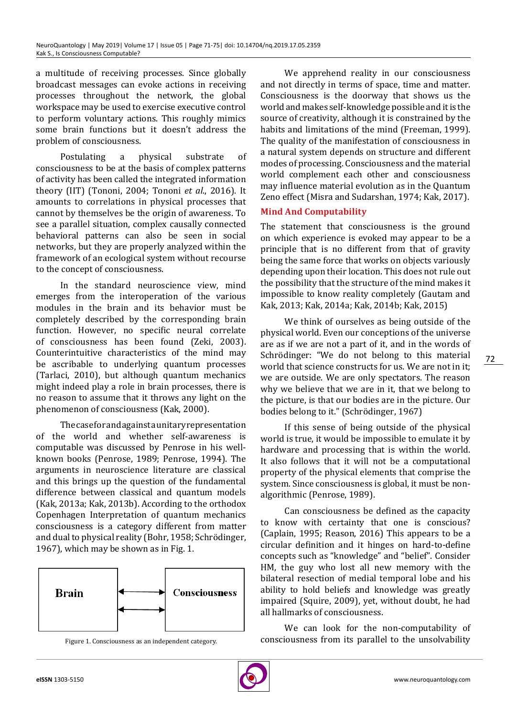a multitude of receiving processes. Since globally broadcast messages can evoke actions in receiving processes throughout the network, the global workspace may be used to exercise executive control to perform voluntary actions. This roughly mimics some brain functions but it doesn't address the problem of consciousness.

Postulating a physical substrate of consciousness to be at the basis of complex patterns of activity has been called the integrated information theory (IIT) (Tononi, 2004; Tononi *et al*., 2016). It amounts to correlations in physical processes that cannot by themselves be the origin of awareness. To see a parallel situation, complex causally connected behavioral patterns can also be seen in social networks, but they are properly analyzed within the framework of an ecological system without recourse to the concept of consciousness.

In the standard neuroscience view, mind emerges from the interoperation of the various modules in the brain and its behavior must be completely described by the corresponding brain function. However, no specific neural correlate of consciousness has been found (Zeki, 2003). Counterintuitive characteristics of the mind may be ascribable to underlying quantum processes (Tarlaci, 2010), but although quantum mechanics might indeed play a role in brain processes, there is no reason to assume that it throws any light on the phenomenon of consciousness (Kak, 2000).

The case for and against a unitary representation of the world and whether self-awareness is computable was discussed by Penrose in his wellknown books (Penrose, 1989; Penrose, 1994). The arguments in neuroscience literature are classical and this brings up the question of the fundamental difference between classical and quantum models (Kak, 2013a; Kak, 2013b). According to the orthodox Copenhagen Interpretation of quantum mechanics consciousness is a category different from matter and dual to physical reality (Bohr, 1958; Schrödinger, 1967), which may be shown as in Fig. 1.



We apprehend reality in our consciousness and not directly in terms of space, time and matter. Consciousness is the doorway that shows us the world and makes self-knowledge possible and it is the source of creativity, although it is constrained by the habits and limitations of the mind (Freeman, 1999). The quality of the manifestation of consciousness in a natural system depends on structure and different modes of processing. Consciousness and the material world complement each other and consciousness may influence material evolution as in the Quantum Zeno effect (Misra and Sudarshan, 1974; Kak, 2017).

### **Mind And Computability**

The statement that consciousness is the ground on which experience is evoked may appear to be a principle that is no different from that of gravity being the same force that works on objects variously depending upon their location. This does not rule out the possibility that the structure of the mind makes it impossible to know reality completely (Gautam and Kak, 2013; Kak, 2014a; Kak, 2014b; Kak, 2015)

We think of ourselves as being outside of the physical world. Even our conceptions of the universe are as if we are not a part of it, and in the words of Schrödinger: "We do not belong to this material world that science constructs for us. We are not in it; we are outside. We are only spectators. The reason why we believe that we are in it, that we belong to the picture, is that our bodies are in the picture. Our bodies belong to it." (Schrödinger, 1967)

If this sense of being outside of the physical world is true, it would be impossible to emulate it by hardware and processing that is within the world. It also follows that it will not be a computational property of the physical elements that comprise the system. Since consciousness is global, it must be nonalgorithmic (Penrose, 1989).

Can consciousness be defined as the capacity to know with certainty that one is conscious? (Caplain, 1995; Reason, 2016) This appears to be a circular definition and it hinges on hard-to-define concepts such as "knowledge" and "belief". Consider HM, the guy who lost all new memory with the bilateral resection of medial temporal lobe and his ability to hold beliefs and knowledge was greatly impaired (Squire, 2009), yet, without doubt, he had all hallmarks of consciousness.

We can look for the non-computability of Figure 1. Consciousness as an independent category. consciousness from its parallel to the unsolvability

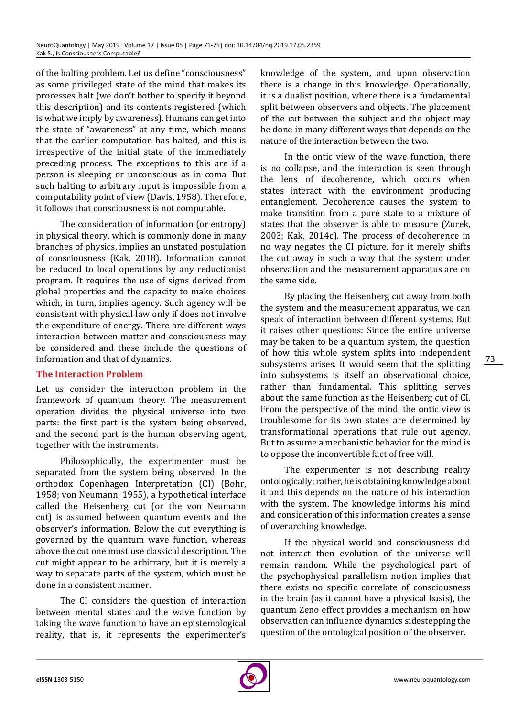of the halting problem. Let us define "consciousness" as some privileged state of the mind that makes its processes halt (we don't bother to specify it beyond this description) and its contents registered (which is what we imply by awareness). Humans can get into the state of "awareness" at any time, which means that the earlier computation has halted, and this is irrespective of the initial state of the immediately preceding process. The exceptions to this are if a person is sleeping or unconscious as in coma. But such halting to arbitrary input is impossible from a computability point of view (Davis, 1958). Therefore, it follows that consciousness is not computable.

The consideration of information (or entropy) in physical theory, which is commonly done in many branches of physics, implies an unstated postulation of consciousness (Kak, 2018). Information cannot be reduced to local operations by any reductionist program. It requires the use of signs derived from global properties and the capacity to make choices which, in turn, implies agency. Such agency will be consistent with physical law only if does not involve the expenditure of energy. There are different ways interaction between matter and consciousness may be considered and these include the questions of information and that of dynamics.

# **The Interaction Problem**

Let us consider the interaction problem in the framework of quantum theory. The measurement operation divides the physical universe into two parts: the first part is the system being observed, and the second part is the human observing agent, together with the instruments.

Philosophically, the experimenter must be separated from the system being observed. In the orthodox Copenhagen Interpretation (CI) (Bohr, 1958; von Neumann, 1955), a hypothetical interface called the Heisenberg cut (or the von Neumann cut) is assumed between quantum events and the observer's information. Below the cut everything is governed by the quantum wave function, whereas above the cut one must use classical description. The cut might appear to be arbitrary, but it is merely a way to separate parts of the system, which must be done in a consistent manner.

The CI considers the question of interaction between mental states and the wave function by taking the wave function to have an epistemological reality, that is, it represents the experimenter's knowledge of the system, and upon observation there is a change in this knowledge. Operationally, it is a dualist position, where there is a fundamental split between observers and objects. The placement of the cut between the subject and the object may be done in many different ways that depends on the nature of the interaction between the two.

In the ontic view of the wave function, there is no collapse, and the interaction is seen through the lens of decoherence, which occurs when states interact with the environment producing entanglement. Decoherence causes the system to make transition from a pure state to a mixture of states that the observer is able to measure (Zurek, 2003; Kak, 2014c). The process of decoherence in no way negates the CI picture, for it merely shifts the cut away in such a way that the system under observation and the measurement apparatus are on the same side.

By placing the Heisenberg cut away from both the system and the measurement apparatus, we can speak of interaction between different systems. But it raises other questions: Since the entire universe may be taken to be a quantum system, the question of how this whole system splits into independent subsystems arises. It would seem that the splitting into subsystems is itself an observational choice, rather than fundamental. This splitting serves about the same function as the Heisenberg cut of CI. From the perspective of the mind, the ontic view is troublesome for its own states are determined by transformational operations that rule out agency. But to assume a mechanistic behavior for the mind is to oppose the inconvertible fact of free will.

The experimenter is not describing reality ontologically; rather, he is obtaining knowledge about it and this depends on the nature of his interaction with the system. The knowledge informs his mind and consideration of this information creates a sense of overarching knowledge.

If the physical world and consciousness did not interact then evolution of the universe will remain random. While the psychological part of the psychophysical parallelism notion implies that there exists no specific correlate of consciousness in the brain (as it cannot have a physical basis), the quantum Zeno effect provides a mechanism on how observation can influence dynamics sidestepping the question of the ontological position of the observer.

73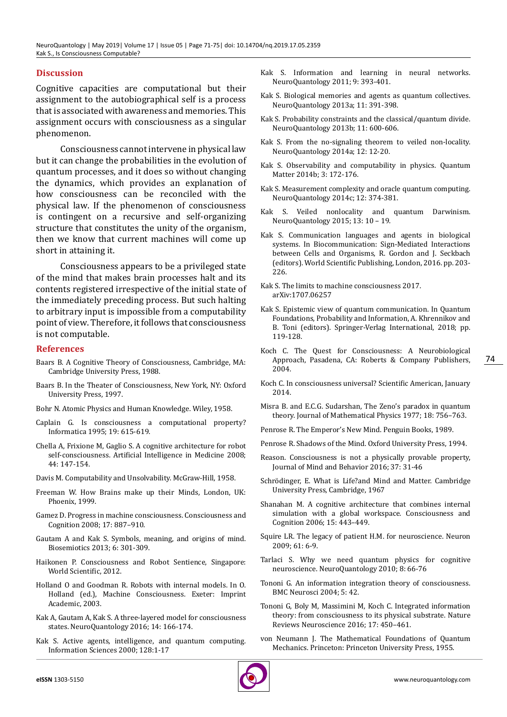## **Discussion**

Cognitive capacities are computational but their assignment to the autobiographical self is a process that is associated with awareness and memories. This assignment occurs with consciousness as a singular phenomenon.

Consciousness cannot intervene in physical law but it can change the probabilities in the evolution of quantum processes, and it does so without changing the dynamics, which provides an explanation of how consciousness can be reconciled with the physical law. If the phenomenon of consciousness is contingent on a recursive and self-organizing structure that constitutes the unity of the organism, then we know that current machines will come up short in attaining it.

Consciousness appears to be a privileged state of the mind that makes brain processes halt and its contents registered irrespective of the initial state of the immediately preceding process. But such halting to arbitrary input is impossible from a computability point of view. Therefore, it follows that consciousness is not computable.

#### **References**

- Baars B. A Cognitive Theory of Consciousness, Cambridge, MA: Cambridge University Press, 1988.
- Baars B. In the Theater of Consciousness, New York, NY: Oxford University Press, 1997.
- Bohr N. Atomic Physics and Human Knowledge. Wiley, 1958.
- Caplain G. Is consciousness a computational property? Informatica 1995; 19: 615-619.
- Chella A, Frixione M, Gaglio S. A cognitive architecture for robot self-consciousness. Artificial Intelligence in Medicine 2008; 44: 147-154.
- Davis M. Computability and Unsolvability. McGraw-Hill, 1958.
- Freeman W. How Brains make up their Minds, London, UK: Phoenix, 1999.
- Gamez D. Progress in machine consciousness. Consciousness and Cognition 2008; 17: 887–910.
- Gautam A and Kak S. Symbols, meaning, and origins of mind. Biosemiotics 2013; 6: 301-309.
- Haikonen P. Consciousness and Robot Sentience, Singapore: World Scientific, 2012.
- Holland O and Goodman R. Robots with internal models. In O. Holland (ed.), Machine Consciousness. Exeter: Imprint Academic, 2003.
- Kak A, Gautam A, Kak S. A three-layered model for consciousness states. NeuroQuantology 2016; 14: 166-174.
- Kak S. Active agents, intelligence, and quantum computing. Information Sciences 2000; 128:1-17
- Kak S. Information and learning in neural networks. NeuroQuantology 2011; 9: 393-401.
- Kak S. Biological memories and agents as quantum collectives. NeuroQuantology 2013a; 11: 391-398.
- Kak S. Probability constraints and the classical/quantum divide. NeuroQuantology 2013b; 11: 600-606.
- Kak S. From the no-signaling theorem to veiled non-locality. NeuroQuantology 2014a; 12: 12-20.
- Kak S. Observability and computability in physics. Quantum Matter 2014b; 3: 172-176.
- Kak S. Measurement complexity and oracle quantum computing. NeuroQuantology 2014c; 12: 374-381.
- Kak S. Veiled nonlocality and quantum Darwinism. NeuroQuantology 2015; 13: 10 – 19.
- Kak S. Communication languages and agents in biological systems. In Biocommunication: Sign-Mediated Interactions between Cells and Organisms, R. Gordon and J. Seckbach (editors). World Scientific Publishing, London, 2016. pp. 203- 226.
- Kak S. The limits to machine consciousness 2017. arXiv:1707.06257
- Kak S. Epistemic view of quantum communication. In Quantum Foundations, Probability and Information, A. Khrennikov and B. Toni (editors). Springer-Verlag International, 2018; pp. 119-128.
- Koch C. The Quest for Consciousness: A Neurobiological Approach, Pasadena, CA: Roberts & Company Publishers, 2004.
- Koch C. In consciousness universal? Scientific American, January 2014.
- Misra B. and E.C.G. Sudarshan, The Zeno's paradox in quantum theory. Journal of Mathematical Physics 1977; 18: 756–763.
- Penrose R. The Emperor's New Mind. Penguin Books, 1989.
- Penrose R. Shadows of the Mind. Oxford University Press, 1994.
- Reason. Consciousness is not a physically provable property, Journal of Mind and Behavior 2016; 37: 31-46
- Schrödinger, E. What is Life?and Mind and Matter. Cambridge University Press, Cambridge, 1967
- Shanahan M. A cognitive architecture that combines internal simulation with a global workspace. Consciousness and Cognition 2006; 15: 443–449.
- Squire LR. The legacy of patient H.M. for neuroscience. Neuron 2009; 61: 6-9.
- Tarlaci S. Why we need quantum physics for cognitive neuroscience. NeuroQuantology 2010; 8: 66-76
- Tononi G. An information integration theory of consciousness. BMC Neurosci 2004; 5: 42.
- Tononi G, Boly M, Massimini M, Koch C. Integrated information theory: from consciousness to its physical substrate. Nature Reviews Neuroscience 2016; 17: 450–461.
- von Neumann J. The Mathematical Foundations of Quantum Mechanics. Princeton: Princeton University Press, 1955.